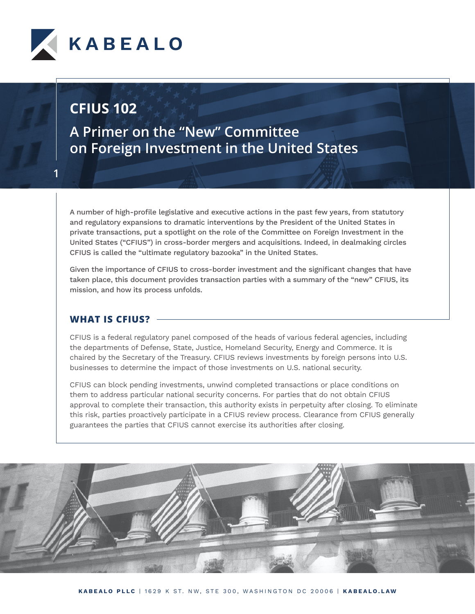

**1**

**A Primer on the "New" Committee on Foreign Investment in the United States**

A number of high-profile legislative and executive actions in the past few years, from statutory and regulatory expansions to dramatic interventions by the President of the United States in private transactions, put a spotlight on the role of the Committee on Foreign Investment in the United States ("CFIUS") in cross-border mergers and acquisitions. Indeed, in dealmaking circles CFIUS is called the "ultimate regulatory bazooka" in the United States.

Given the importance of CFIUS to cross-border investment and the significant changes that have taken place, this document provides transaction parties with a summary of the "new" CFIUS, its mission, and how its process unfolds.

#### **WHAT IS CFIUS?**

CFIUS is a federal regulatory panel composed of the heads of various federal agencies, including the departments of Defense, State, Justice, Homeland Security, Energy and Commerce. It is chaired by the Secretary of the Treasury. CFIUS reviews investments by foreign persons into U.S. businesses to determine the impact of those investments on U.S. national security.

CFIUS can block pending investments, unwind completed transactions or place conditions on them to address particular national security concerns. For parties that do not obtain CFIUS approval to complete their transaction, this authority exists in perpetuity after closing. To eliminate this risk, parties proactively participate in a CFIUS review process. Clearance from CFIUS generally guarantees the parties that CFIUS cannot exercise its authorities after closing.

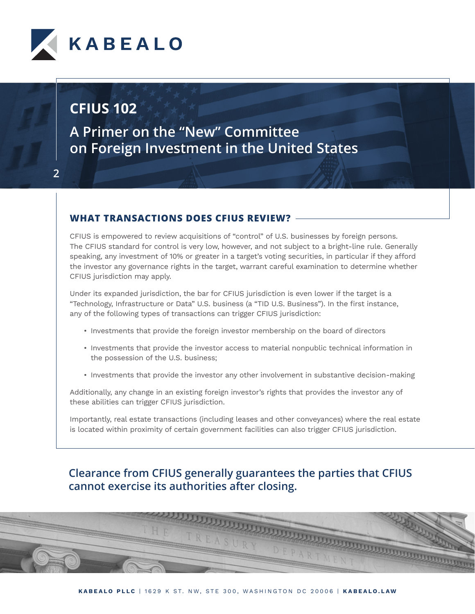

**A Primer on the "New" Committee on Foreign Investment in the United States**

#### **WHAT TRANSACTIONS DOES CFIUS REVIEW?**

CFIUS is empowered to review acquisitions of "control" of U.S. businesses by foreign persons. The CFIUS standard for control is very low, however, and not subject to a bright-line rule. Generally speaking, any investment of 10% or greater in a target's voting securities, in particular if they afford the investor any governance rights in the target, warrant careful examination to determine whether CFIUS jurisdiction may apply.

Under its expanded jurisdiction, the bar for CFIUS jurisdiction is even lower if the target is a "Technology, Infrastructure or Data" U.S. business (a "TID U.S. Business"). In the first instance, any of the following types of transactions can trigger CFIUS jurisdiction:

- Investments that provide the foreign investor membership on the board of directors
- Investments that provide the investor access to material nonpublic technical information in the possession of the U.S. business;
- Investments that provide the investor any other involvement in substantive decision-making

Additionally, any change in an existing foreign investor's rights that provides the investor any of these abilities can trigger CFIUS jurisdiction.

Importantly, real estate transactions (including leases and other conveyances) where the real estate is located within proximity of certain government facilities can also trigger CFIUS jurisdiction.

### **Clearance from CFIUS generally guarantees the parties that CFIUS cannot exercise its authorities after closing.**

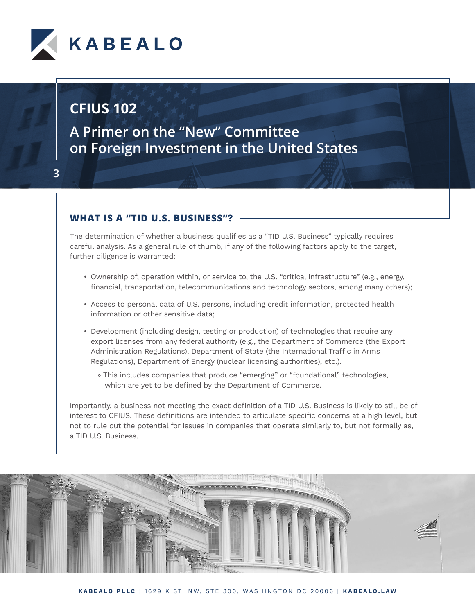

**A Primer on the "New" Committee on Foreign Investment in the United States**

#### **WHAT IS A "TID U.S. BUSINESS"?**

The determination of whether a business qualifies as a "TID U.S. Business" typically requires careful analysis. As a general rule of thumb, if any of the following factors apply to the target, further diligence is warranted:

- Ownership of, operation within, or service to, the U.S. "critical infrastructure" (e.g., energy, financial, transportation, telecommunications and technology sectors, among many others);
- Access to personal data of U.S. persons, including credit information, protected health information or other sensitive data;
- Development (including design, testing or production) of technologies that require any export licenses from any federal authority (e.g., the Department of Commerce (the Export Administration Regulations), Department of State (the International Traffic in Arms Regulations), Department of Energy (nuclear licensing authorities), etc.).
	- ° This includes companies that produce "emerging" or "foundational" technologies, which are yet to be defined by the Department of Commerce.

Importantly, a business not meeting the exact definition of a TID U.S. Business is likely to still be of interest to CFIUS. These definitions are intended to articulate specific concerns at a high level, but not to rule out the potential for issues in companies that operate similarly to, but not formally as, a TID U.S. Business.

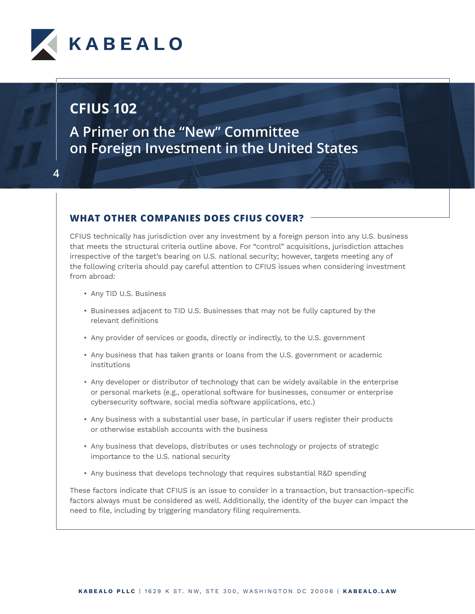

**4**

**A Primer on the "New" Committee on Foreign Investment in the United States**

#### **WHAT OTHER COMPANIES DOES CFIUS COVER?**

CFIUS technically has jurisdiction over any investment by a foreign person into any U.S. business that meets the structural criteria outline above. For "control" acquisitions, jurisdiction attaches irrespective of the target's bearing on U.S. national security; however, targets meeting any of the following criteria should pay careful attention to CFIUS issues when considering investment from abroad:

- Any TID U.S. Business
- Businesses adjacent to TID U.S. Businesses that may not be fully captured by the relevant definitions
- Any provider of services or goods, directly or indirectly, to the U.S. government
- Any business that has taken grants or loans from the U.S. government or academic institutions
- Any developer or distributor of technology that can be widely available in the enterprise or personal markets (e.g., operational software for businesses, consumer or enterprise cybersecurity software, social media software applications, etc.)
- Any business with a substantial user base, in particular if users register their products or otherwise establish accounts with the business
- Any business that develops, distributes or uses technology or projects of strategic importance to the U.S. national security
- Any business that develops technology that requires substantial R&D spending

These factors indicate that CFIUS is an issue to consider in a transaction, but transaction-specific factors always must be considered as well. Additionally, the identity of the buyer can impact the need to file, including by triggering mandatory filing requirements.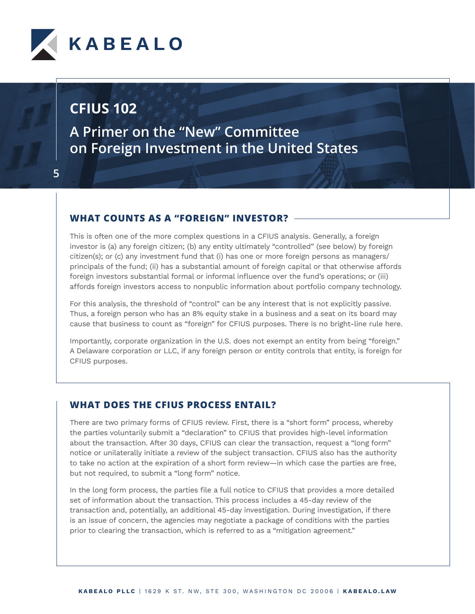

**A Primer on the "New" Committee on Foreign Investment in the United States**

#### **WHAT COUNTS AS A "FOREIGN" INVESTOR?**

This is often one of the more complex questions in a CFIUS analysis. Generally, a foreign investor is (a) any foreign citizen; (b) any entity ultimately "controlled" (see below) by foreign citizen(s); or (c) any investment fund that (i) has one or more foreign persons as managers/ principals of the fund; (ii) has a substantial amount of foreign capital or that otherwise affords foreign investors substantial formal or informal influence over the fund's operations; or (iii) affords foreign investors access to nonpublic information about portfolio company technology.

For this analysis, the threshold of "control" can be any interest that is not explicitly passive. Thus, a foreign person who has an 8% equity stake in a business and a seat on its board may cause that business to count as "foreign" for CFIUS purposes. There is no bright-line rule here.

Importantly, corporate organization in the U.S. does not exempt an entity from being "foreign." A Delaware corporation or LLC, if any foreign person or entity controls that entity, is foreign for CFIUS purposes.

#### **WHAT DOES THE CFIUS PROCESS ENTAIL?**

There are two primary forms of CFIUS review. First, there is a "short form" process, whereby the parties voluntarily submit a "declaration" to CFIUS that provides high-level information about the transaction. After 30 days, CFIUS can clear the transaction, request a "long form" notice or unilaterally initiate a review of the subject transaction. CFIUS also has the authority to take no action at the expiration of a short form review—in which case the parties are free, but not required, to submit a "long form" notice.

In the long form process, the parties file a full notice to CFIUS that provides a more detailed set of information about the transaction. This process includes a 45-day review of the transaction and, potentially, an additional 45-day investigation. During investigation, if there is an issue of concern, the agencies may negotiate a package of conditions with the parties prior to clearing the transaction, which is referred to as a "mitigation agreement."